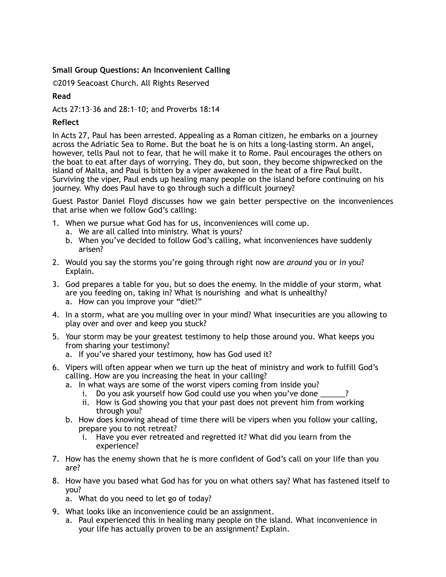## **Small Group Questions: An Inconvenient Calling**

©2019 Seacoast Church. All Rights Reserved

## **Read**

Acts 27:13–36 and 28:1–10; and Proverbs 18:14

## **Reflect**

In Acts 27, Paul has been arrested. Appealing as a Roman citizen, he embarks on a journey across the Adriatic Sea to Rome. But the boat he is on hits a long-lasting storm. An angel, however, tells Paul not to fear, that he will make it to Rome. Paul encourages the others on the boat to eat after days of worrying. They do, but soon, they become shipwrecked on the island of Malta, and Paul is bitten by a viper awakened in the heat of a fire Paul built. Surviving the viper, Paul ends up healing many people on the island before continuing on his journey. Why does Paul have to go through such a difficult journey?

Guest Pastor Daniel Floyd discusses how we gain better perspective on the inconveniences that arise when we follow God's calling:

- 1. When we pursue what God has for us, inconveniences will come up.
	- a. We are all called into ministry. What is yours?
	- b. When you've decided to follow God's calling, what inconveniences have suddenly arisen?
- 2. Would you say the storms you're going through right now are *around* you or *in* you? Explain.
- 3. God prepares a table for you, but so does the enemy. In the middle of your storm, what are you feeding on, taking in? What is nourishing and what is unhealthy? a. How can you improve your "diet?"
- 4. In a storm, what are you mulling over in your mind? What insecurities are you allowing to play over and over and keep you stuck?
- 5. Your storm may be your greatest testimony to help those around you. What keeps you from sharing your testimony?
	- a. If you've shared your testimony, how has God used it?
- 6. Vipers will often appear when we turn up the heat of ministry and work to fulfill God's calling. How are you increasing the heat in your calling?
	- a. In what ways are some of the worst vipers coming from inside you?
		- i. Do you ask yourself how God could use you when you've done
		- ii. How is God showing you that your past does not prevent him from working through you?
	- b. How does knowing ahead of time there will be vipers when you follow your calling, prepare you to not retreat?
		- i. Have you ever retreated and regretted it? What did you learn from the experience?
- 7. How has the enemy shown that he is more confident of God's call on your life than you are?
- 8. How have you based what God has for you on what others say? What has fastened itself to you?
	- a. What do you need to let go of today?
- 9. What looks like an inconvenience could be an assignment.
	- a. Paul experienced this in healing many people on the island. What inconvenience in your life has actually proven to be an assignment? Explain.